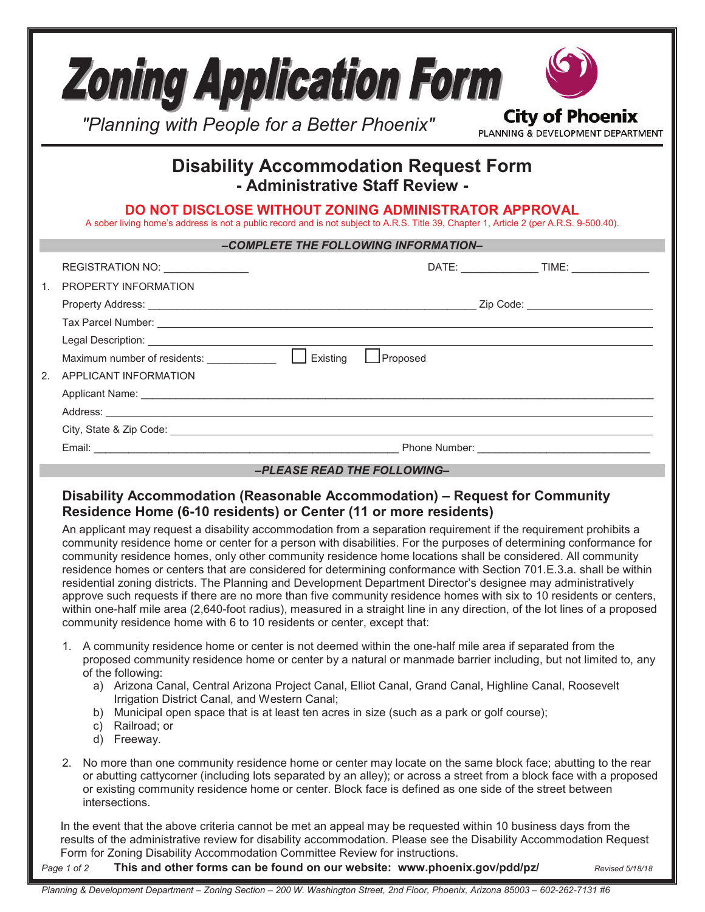|             | <b>Zoning Application Form</b><br><b>City of Phoenix</b><br>"Planning with People for a Better Phoenix"<br>PLANNING & DEVELOPMENT DEPARTMENT                                                                                                                                                                                                                                                                                                                                                                                                                                                                                                                                                                                                                                                                                                                                                                                   |  |  |  |  |
|-------------|--------------------------------------------------------------------------------------------------------------------------------------------------------------------------------------------------------------------------------------------------------------------------------------------------------------------------------------------------------------------------------------------------------------------------------------------------------------------------------------------------------------------------------------------------------------------------------------------------------------------------------------------------------------------------------------------------------------------------------------------------------------------------------------------------------------------------------------------------------------------------------------------------------------------------------|--|--|--|--|
|             | <b>Disability Accommodation Request Form</b><br>- Administrative Staff Review -                                                                                                                                                                                                                                                                                                                                                                                                                                                                                                                                                                                                                                                                                                                                                                                                                                                |  |  |  |  |
|             | DO NOT DISCLOSE WITHOUT ZONING ADMINISTRATOR APPROVAL<br>A sober living home's address is not a public record and is not subject to A.R.S. Title 39, Chapter 1, Article 2 (per A.R.S. 9-500.40).                                                                                                                                                                                                                                                                                                                                                                                                                                                                                                                                                                                                                                                                                                                               |  |  |  |  |
|             | -COMPLETE THE FOLLOWING INFORMATION-                                                                                                                                                                                                                                                                                                                                                                                                                                                                                                                                                                                                                                                                                                                                                                                                                                                                                           |  |  |  |  |
| $1_{-}$     | REGISTRATION NO: \\state\\state\\state\\state\\state\\state\\state\\state\\state\\state\\state\\state\\state\\state\\state\\state\\state\\state\\state\\state\\state\\state\\state\\state\\state\\state\\state\\state\\state\\<br><b>PROPERTY INFORMATION</b>                                                                                                                                                                                                                                                                                                                                                                                                                                                                                                                                                                                                                                                                  |  |  |  |  |
|             |                                                                                                                                                                                                                                                                                                                                                                                                                                                                                                                                                                                                                                                                                                                                                                                                                                                                                                                                |  |  |  |  |
| $2^{\circ}$ | $\Box$ Proposed<br><b>APPLICANT INFORMATION</b>                                                                                                                                                                                                                                                                                                                                                                                                                                                                                                                                                                                                                                                                                                                                                                                                                                                                                |  |  |  |  |
|             | Address: <u>Address: Address: Address: Address: Address: Address: Address: Address: Address: Address: Address: Address: Address: Address: Address: Address: Address: Address: Address: Address: Address: Address: Address: Addre</u>                                                                                                                                                                                                                                                                                                                                                                                                                                                                                                                                                                                                                                                                                           |  |  |  |  |
|             |                                                                                                                                                                                                                                                                                                                                                                                                                                                                                                                                                                                                                                                                                                                                                                                                                                                                                                                                |  |  |  |  |
|             |                                                                                                                                                                                                                                                                                                                                                                                                                                                                                                                                                                                                                                                                                                                                                                                                                                                                                                                                |  |  |  |  |
|             | -PLEASE READ THE FOLLOWING-                                                                                                                                                                                                                                                                                                                                                                                                                                                                                                                                                                                                                                                                                                                                                                                                                                                                                                    |  |  |  |  |
|             | Disability Accommodation (Reasonable Accommodation) – Request for Community<br>Residence Home (6-10 residents) or Center (11 or more residents)                                                                                                                                                                                                                                                                                                                                                                                                                                                                                                                                                                                                                                                                                                                                                                                |  |  |  |  |
|             | An applicant may request a disability accommodation from a separation requirement if the requirement prohibits a<br>community residence home or center for a person with disabilities. For the purposes of determining conformance for<br>community residence homes, only other community residence home locations shall be considered. All community<br>residence homes or centers that are considered for determining conformance with Section 701.E.3.a. shall be within<br>residential zoning districts. The Planning and Development Department Director's designee may administratively<br>approve such requests if there are no more than five community residence homes with six to 10 residents or centers,<br>within one-half mile area (2,640-foot radius), measured in a straight line in any direction, of the lot lines of a proposed<br>community residence home with 6 to 10 residents or center, except that: |  |  |  |  |
|             | 1. A community residence home or center is not deemed within the one-half mile area if separated from the<br>proposed community residence home or center by a natural or manmade barrier including, but not limited to, any<br>of the following:<br>a) Arizona Canal, Central Arizona Project Canal, Elliot Canal, Grand Canal, Highline Canal, Roosevelt<br>Irrigation District Canal, and Western Canal;<br>b) Municipal open space that is at least ten acres in size (such as a park or golf course);<br>c) Railroad; or<br>d) Freeway.                                                                                                                                                                                                                                                                                                                                                                                    |  |  |  |  |
|             | No more than one community residence home or center may locate on the same block face; abutting to the rear<br>2.<br>or abutting cattycorner (including lots separated by an alley); or across a street from a block face with a proposed<br>or existing community residence home or center. Block face is defined as one side of the street between<br>intersections.                                                                                                                                                                                                                                                                                                                                                                                                                                                                                                                                                         |  |  |  |  |
|             | In the event that the above criteria cannot be met an appeal may be requested within 10 business days from the<br>results of the administrative review for disability accommodation. Please see the Disability Accommodation Request<br>Form for Zoning Disability Accommodation Committee Review for instructions.                                                                                                                                                                                                                                                                                                                                                                                                                                                                                                                                                                                                            |  |  |  |  |

*Page 1 of 2* **This and other forms can be found on our website: www.phoenix.gov/pdd/pz/** *Revised 5/18/18*